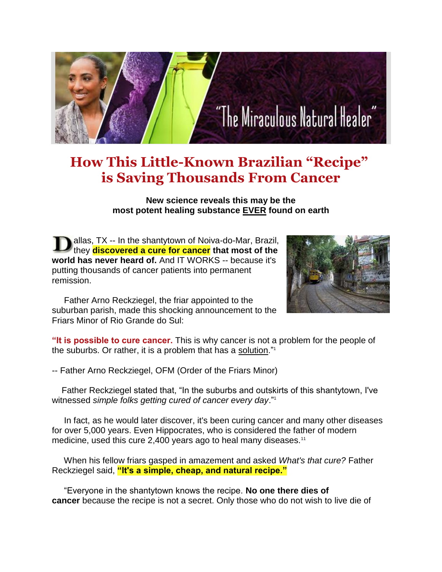# "The Miraculous Natural Healer"

# **How This Little-Known Brazilian "Recipe" is Saving Thousands From Cancer**

**New science reveals this may be the most potent healing substance EVER found on earth**

allas, TX -- In the shantytown of Noiva-do-Mar, Brazil, they **discovered a cure for cancer that most of the world has never heard of.** And IT WORKS -- because it's putting thousands of cancer patients into permanent remission.



 Father Arno Reckziegel, the friar appointed to the suburban parish, made this shocking announcement to the Friars Minor of Rio Grande do Sul:

**"It is possible to cure cancer.** This is why cancer is not a problem for the people of the suburbs. Or rather, it is a problem that has a solution."<sup>1</sup>

-- Father Arno Reckziegel, OFM (Order of the Friars Minor)

 Father Reckziegel stated that, "In the suburbs and outskirts of this shantytown, I've witnessed *simple folks getting cured of cancer every day*."<sup>1</sup>

 In fact, as he would later discover, it's been curing cancer and many other diseases for over 5,000 years. Even Hippocrates, who is considered the father of modern medicine, used this cure 2,400 years ago to heal many diseases.<sup>11</sup>

 When his fellow friars gasped in amazement and asked *What's that cure?* Father Reckziegel said, **"It's a simple, cheap, and natural recipe."**

 "Everyone in the shantytown knows the recipe. **No one there dies of cancer** because the recipe is not a secret. Only those who do not wish to live die of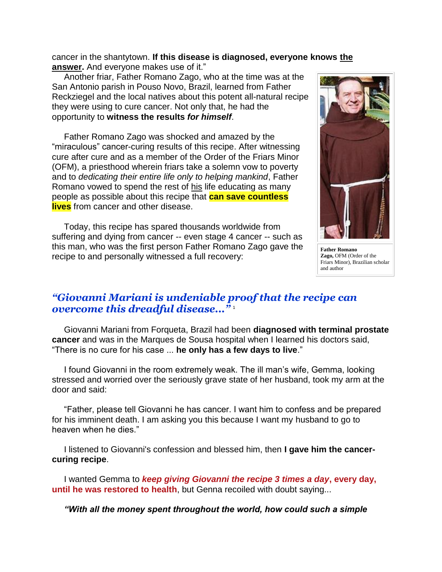cancer in the shantytown. **If this disease is diagnosed, everyone knows the answer.** And everyone makes use of it."

 Another friar, Father Romano Zago, who at the time was at the San Antonio parish in Pouso Novo, Brazil, learned from Father Reckziegel and the local natives about this potent all-natural recipe they were using to cure cancer. Not only that, he had the opportunity to **witness the results** *for himself*.

 Father Romano Zago was shocked and amazed by the "miraculous" cancer-curing results of this recipe. After witnessing cure after cure and as a member of the Order of the Friars Minor (OFM), a priesthood wherein friars take a solemn vow to poverty and to *dedicating their entire life only to helping mankind*, Father Romano vowed to spend the rest of his life educating as many people as possible about this recipe that **can save countless lives** from cancer and other disease.

 Today, this recipe has spared thousands worldwide from suffering and dying from cancer -- even stage 4 cancer -- such as this man, who was the first person Father Romano Zago gave the recipe to and personally witnessed a full recovery:



**Father Romano Zago,** OFM (Order of the Friars Minor), Brazilian scholar and author

#### *"Giovanni Mariani is undeniable proof that the recipe can overcome this dreadful disease..."* <sup>1</sup>

 Giovanni Mariani from Forqueta, Brazil had been **diagnosed with terminal prostate cancer** and was in the Marques de Sousa hospital when I learned his doctors said, "There is no cure for his case ... **he only has a few days to live**."

 I found Giovanni in the room extremely weak. The ill man's wife, Gemma, looking stressed and worried over the seriously grave state of her husband, took my arm at the door and said:

 "Father, please tell Giovanni he has cancer. I want him to confess and be prepared for his imminent death. I am asking you this because I want my husband to go to heaven when he dies."

 I listened to Giovanni's confession and blessed him, then **I gave him the cancercuring recipe**.

 I wanted Gemma to *keep giving Giovanni the recipe 3 times a day***, every day, until he was restored to health**, but Genna recoiled with doubt saying...

*"With all the money spent throughout the world, how could such a simple*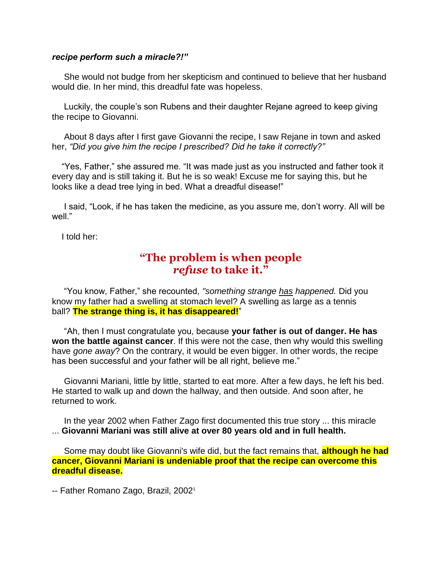#### *recipe perform such a miracle?!"*

 She would not budge from her skepticism and continued to believe that her husband would die. In her mind, this dreadful fate was hopeless.

 Luckily, the couple's son Rubens and their daughter Rejane agreed to keep giving the recipe to Giovanni.

 About 8 days after I first gave Giovanni the recipe, I saw Rejane in town and asked her, *"Did you give him the recipe I prescribed? Did he take it correctly?"*

 "Yes, Father," she assured me. "It was made just as you instructed and father took it every day and is still taking it. But he is so weak! Excuse me for saying this, but he looks like a dead tree lying in bed. What a dreadful disease!"

 I said, "Look, if he has taken the medicine, as you assure me, don't worry. All will be well<sup>"</sup>

I told her:

### **"The problem is when people** *refuse* **to take it."**

 "You know, Father," she recounted, *"something strange has happened.* Did you know my father had a swelling at stomach level? A swelling as large as a tennis ball? **The strange thing is, it has disappeared!**"

 "Ah, then I must congratulate you, because **your father is out of danger. He has won the battle against cancer**. If this were not the case, then why would this swelling have *gone away*? On the contrary, it would be even bigger. In other words, the recipe has been successful and your father will be all right, believe me."

 Giovanni Mariani, little by little, started to eat more. After a few days, he left his bed. He started to walk up and down the hallway, and then outside. And soon after, he returned to work.

 In the year 2002 when Father Zago first documented this true story ... this miracle ... **Giovanni Mariani was still alive at over 80 years old and in full health.**

 Some may doubt like Giovanni's wife did, but the fact remains that, **although he had cancer, Giovanni Mariani is undeniable proof that the recipe can overcome this dreadful disease.**

-- Father Romano Zago, Brazil, 2002<sup>1</sup>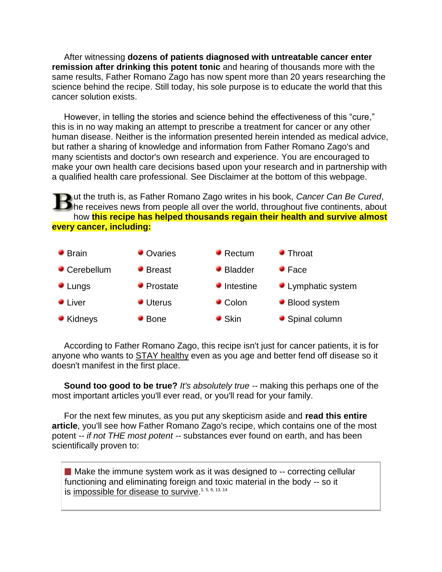After witnessing **dozens of patients diagnosed with untreatable cancer enter remission after drinking this potent tonic** and hearing of thousands more with the same results, Father Romano Zago has now spent more than 20 years researching the science behind the recipe. Still today, his sole purpose is to educate the world that this cancer solution exists.

 However, in telling the stories and science behind the effectiveness of this "cure," this is in no way making an attempt to prescribe a treatment for cancer or any other human disease. Neither is the information presented herein intended as medical advice, but rather a sharing of knowledge and information from Father Romano Zago's and many scientists and doctor's own research and experience. You are encouraged to make your own health care decisions based upon your research and in partnership with a qualified health care professional. See Disclaimer at the bottom of this webpage.

ut the truth is, as Father Romano Zago writes in his book, *Cancer Can Be Cured*,  $\Box$  he receives news from people all over the world, throughout five continents, about how **this recipe has helped thousands regain their health and survive almost every cancer, including:**



 According to Father Romano Zago, this recipe isn't just for cancer patients, it is for anyone who wants to **STAY** healthy even as you age and better fend off disease so it doesn't manifest in the first place.

 **Sound too good to be true?** *It's absolutely true --* making this perhaps one of the most important articles you'll ever read, or you'll read for your family.

 For the next few minutes, as you put any skepticism aside and **read this entire article**, you'll see how Father Romano Zago's recipe, which contains one of the most potent *-- if not THE most potent --* substances ever found on earth, and has been scientifically proven to:

 $\blacksquare$  Make the immune system work as it was designed to -- correcting cellular functioning and eliminating foreign and toxic material in the body -- so it is impossible for disease to survive.<sup>1, 5, 6, 13, 14</sup>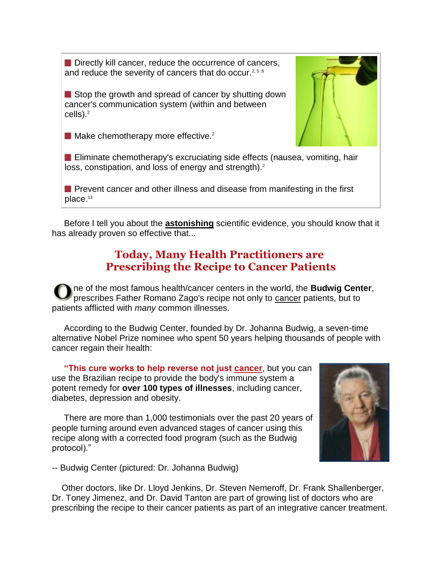Directly kill cancer, reduce the occurrence of cancers, and reduce the severity of cancers that do occur.<sup>2,5,6</sup>

Stop the growth and spread of cancer by shutting down cancer's communication system (within and between cells). $2$ 



 $\blacksquare$  Make chemotherapy more effective.<sup>2</sup>

**Eliminate chemotherapy's excruciating side effects (nausea, vomiting, hair** loss, constipation, and loss of energy and strength).<sup>2</sup>

**Prevent cancer and other illness and disease from manifesting in the first** place.<sup>13</sup>

 Before I tell you about the **astonishing** scientific evidence, you should know that it has already proven so effective that...

## **Today, Many Health Practitioners are Prescribing the Recipe to Cancer Patients**

ne of the most famous health/cancer centers in the world, the **Budwig Center**, prescribes Father Romano Zago's recipe not only to cancer patients, but to patients afflicted with *many* common illnesses.

 According to the Budwig Center, founded by Dr. Johanna Budwig, a seven-time alternative Nobel Prize nominee who spent 50 years helping thousands of people with cancer regain their health:

 **"This cure works to help reverse not just cancer**, but you can use the Brazilian recipe to provide the body's immune system a potent remedy for **over 100 types of illnesses**, including cancer, diabetes, depression and obesity.

 There are more than 1,000 testimonials over the past 20 years of people turning around even advanced stages of cancer using this recipe along with a corrected food program (such as the Budwig protocol)."



-- Budwig Center (pictured: Dr. Johanna Budwig)

 Other doctors, like Dr. Lloyd Jenkins, Dr. Steven Nemeroff, Dr. Frank Shallenberger, Dr. Toney Jimenez, and Dr. David Tanton are part of growing list of doctors who are prescribing the recipe to their cancer patients as part of an integrative cancer treatment.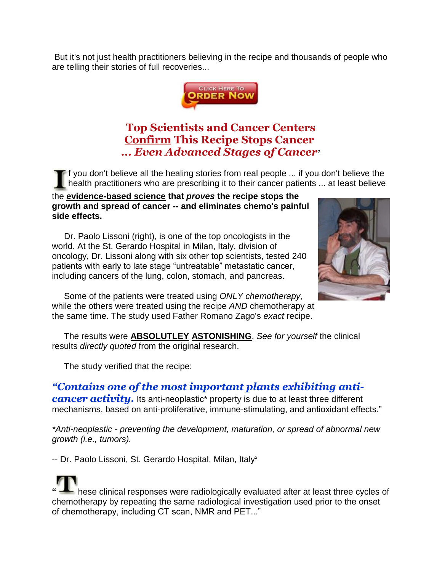But it's not just health practitioners believing in the recipe and thousands of people who are telling their stories of full recoveries...



# **Top Scientists and Cancer Centers Confirm This Recipe Stops Cancer** *... Even Advanced Stages of Cancer*<sup>2</sup>

f you don't believe all the healing stories from real people ... if you don't believe the health practitioners who are prescribing it to their cancer patients ... at least believe

the **evidence-based science that** *proves* **the recipe stops the growth and spread of cancer -- and eliminates chemo's painful side effects.**

 Dr. Paolo Lissoni (right), is one of the top oncologists in the world. At the St. Gerardo Hospital in Milan, Italy, division of oncology, Dr. Lissoni along with six other top scientists, tested 240 patients with early to late stage "untreatable" metastatic cancer, including cancers of the lung, colon, stomach, and pancreas.



 Some of the patients were treated using *ONLY chemotherapy*, while the others were treated using the recipe *AND* chemotherapy at the same time. The study used Father Romano Zago's *exact* recipe.

 The results were **ABSOLUTLEY ASTONISHING**. *See for yourself* the clinical results *directly quoted* from the original research.

The study verified that the recipe:

*"Contains one of the most important plants exhibiting anticancer activity.* Its anti-neoplastic<sup>\*</sup> property is due to at least three different mechanisms, based on anti-proliferative, immune-stimulating, and antioxidant effects."

*\*Anti-neoplastic - preventing the development, maturation, or spread of abnormal new growth (i.e., tumors).*

-- Dr. Paolo Lissoni, St. Gerardo Hospital, Milan, Italy<sup>2</sup>

**"** hese clinical responses were radiologically evaluated after at least three cycles of chemotherapy by repeating the same radiological investigation used prior to the onset of chemotherapy, including CT scan, NMR and PET..."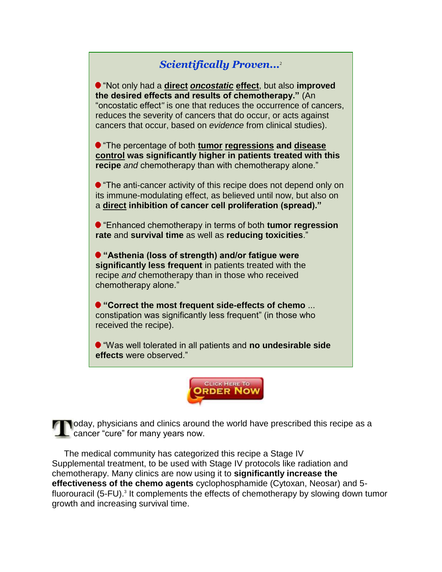## *Scientifically Proven...*<sup>2</sup>

"Not only had a **direct** *oncostatic* **effect**, but also **improved the desired effects and results of chemotherapy."** (An "oncostatic effect*"* is one that reduces the occurrence of cancers, reduces the severity of cancers that do occur, or acts against cancers that occur, based on *evidence* from clinical studies).

"The percentage of both **tumor regressions and disease control was significantly higher in patients treated with this recipe** *and* chemotherapy than with chemotherapy alone."

**•** "The anti-cancer activity of this recipe does not depend only on its immune-modulating effect, as believed until now, but also on a **direct inhibition of cancer cell proliferation (spread)."**

"Enhanced chemotherapy in terms of both **tumor regression rate** and **survival time** as well as **reducing toxicities**."

**"Asthenia (loss of strength) and/or fatigue were significantly less frequent** in patients treated with the recipe *and* chemotherapy than in those who received chemotherapy alone."

**"Correct the most frequent side-effects of chemo** ... constipation was significantly less frequent" (in those who received the recipe).

"Was well tolerated in all patients and **no undesirable side effects** were observed."



oday, physicians and clinics around the world have prescribed this recipe as a cancer "cure" for many years now.

 The medical community has categorized this recipe a Stage IV Supplemental treatment, to be used with Stage IV protocols like radiation and chemotherapy. Many clinics are now using it to **significantly increase the effectiveness of the chemo agents** cyclophosphamide (Cytoxan, Neosar) and 5 fluorouracil (5-FU).<sup>3</sup> It complements the effects of chemotherapy by slowing down tumor growth and increasing survival time.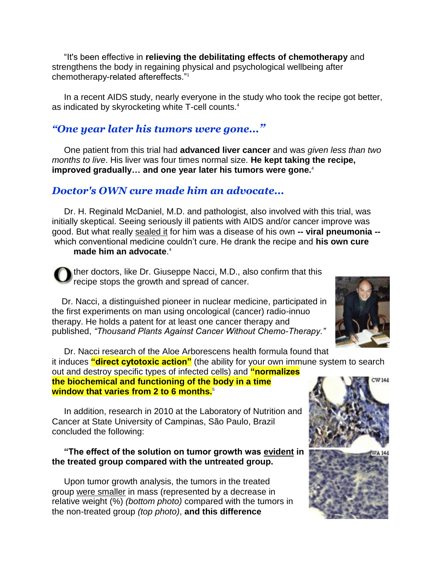"It's been effective in **relieving the debilitating effects of chemotherapy** and strengthens the body in regaining physical and psychological wellbeing after chemotherapy-related aftereffects."<sup>1</sup>

 In a recent AIDS study, nearly everyone in the study who took the recipe got better, as indicated by skyrocketing white T-cell counts.<sup>4</sup>

#### *"One year later his tumors were gone..."*

 One patient from this trial had **advanced liver cancer** and was *given less than two months to live*. His liver was four times normal size. **He kept taking the recipe, improved gradually… and one year later his tumors were gone.**<sup>4</sup>

#### *Doctor's OWN cure made him an advocate...*

 Dr. H. Reginald McDaniel, M.D. and pathologist, also involved with this trial, was initially skeptical. Seeing seriously ill patients with AIDS and/or cancer improve was good. But what really sealed it for him was a disease of his own **-- viral pneumonia -** which conventional medicine couldn't cure. He drank the recipe and **his own cure** 

#### **made him an advocate**. 4

ther doctors, like Dr. Giuseppe Nacci, M.D., also confirm that this recipe stops the growth and spread of cancer.

 Dr. Nacci, a distinguished pioneer in nuclear medicine, participated in the first experiments on man using oncological (cancer) radio-innuo therapy. He holds a patent for at least one cancer therapy and published, *"Thousand Plants Against Cancer Without Chemo-Therapy."*



 Dr. Nacci research of the Aloe Arborescens health formula found that it induces **"direct cytotoxic action"** (the ability for your own immune system to search out and destroy specific types of infected cells) and **"normalizes** 

**the biochemical and functioning of the body in a time window that varies from 2 to 6 months.**<sup>5</sup>

 In addition, research in 2010 at the Laboratory of Nutrition and Cancer at State University of Campinas, São Paulo, Brazil concluded the following:

#### **"The effect of the solution on tumor growth was evident in the treated group compared with the untreated group.**

 Upon tumor growth analysis, the tumors in the treated group were smaller in mass (represented by a decrease in relative weight (%) *(bottom photo)* compared with the tumors in the non-treated group *(top photo)*, **and this difference** 

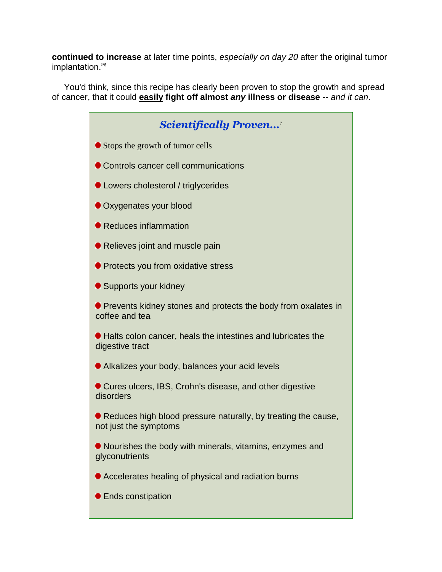**continued to increase** at later time points, *especially on day 20* after the original tumor implantation."<sup>6</sup>

 You'd think, since this recipe has clearly been proven to stop the growth and spread of cancer, that it could **easily fight off almost** *any* **illness or disease** -- *and it can*.

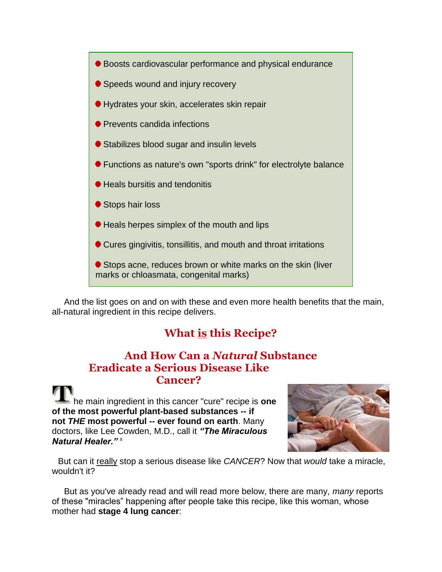

 And the list goes on and on with these and even more health benefits that the main, all-natural ingredient in this recipe delivers.

# **What is this Recipe?**

#### **And How Can a** *Natural* **Substance Eradicate a Serious Disease Like Cancer?**

he main ingredient in this cancer "cure" recipe is **one of the most powerful plant-based substances -- if not** *THE* **most powerful -- ever found on earth**. Many doctors, like Lee Cowden, M.D., call it *"The Miraculous Natural Healer."* <sup>8</sup>



But can it really stop a serious disease like *CANCER*? Now that *would* take a miracle, wouldn't it?

 But as you've already read and will read more below, there are many, *many* reports of these "miracles" happening after people take this recipe, like this woman, whose mother had **stage 4 lung cancer**: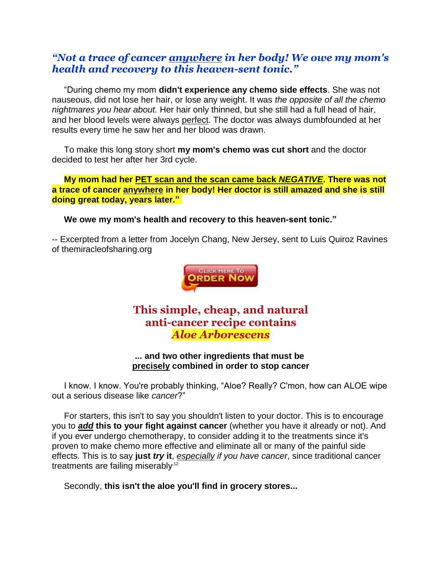#### *"Not a trace of cancer anywhere in her body! We owe my mom's health and recovery to this heaven-sent tonic."*

 "During chemo my mom **didn't experience any chemo side effects**. She was not nauseous, did not lose her hair, or lose any weight. It was *the opposite of all the chemo nightmares you hear about.* Her hair only thinned, but she still had a full head of hair, and her blood levels were always perfect. The doctor was always dumbfounded at her results every time he saw her and her blood was drawn.

 To make this long story short **my mom's chemo was cut short** and the doctor decided to test her after her 3rd cycle.

 **My mom had her PET scan and the scan came back** *NEGATIVE***. There was not a trace of cancer anywhere in her body! Her doctor is still amazed and she is still doing great today, years later."**

**We owe my mom's health and recovery to this heaven-sent tonic."**

-- Excerpted from a letter from Jocelyn Chang, New Jersey, sent to Luis Quiroz Ravines of themiracleofsharing.org



## **This simple, cheap, and natural anti-cancer recipe contains** *Aloe Arborescens*

#### **... and two other ingredients that must be precisely combined in order to stop cancer**

 I know. I know. You're probably thinking, "Aloe? Really? C'mon, how can ALOE wipe out a serious disease like *cancer*?"

 For starters, this isn't to say you shouldn't listen to your doctor. This is to encourage you to *add* **this to your fight against cancer** (whether you have it already or not). And if you ever undergo chemotherapy, to consider adding it to the treatments since it's proven to make chemo more effective and eliminate all or many of the painful side effects. This is to say **just** *try* **it**, *especially if you have cancer*, since traditional cancer treatments are failing miserably.12

Secondly, **this isn't the aloe you'll find in grocery stores...**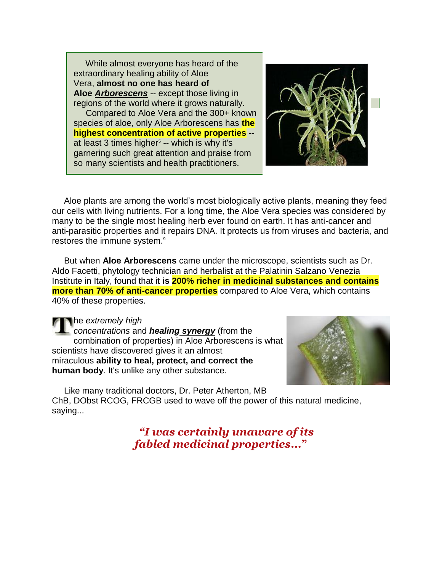While almost everyone has heard of the extraordinary healing ability of Aloe Vera, **almost no one has heard of Aloe** *Arborescens* -- except those living in regions of the world where it grows naturally.

 Compared to Aloe Vera and the 300+ known species of aloe, only Aloe Arborescens has **the highest concentration of active properties** - at least 3 times higher<sup>5</sup> -- which is why it's garnering such great attention and praise from so many scientists and health practitioners.



 Aloe plants are among the world's most biologically active plants, meaning they feed our cells with living nutrients. For a long time, the Aloe Vera species was considered by many to be the single most healing herb ever found on earth. It has anti-cancer and anti-parasitic properties and it repairs DNA. It protects us from viruses and bacteria, and restores the immune system.<sup>9</sup>

 But when **Aloe Arborescens** came under the microscope, scientists such as Dr. Aldo Facetti, phytology technician and herbalist at the Palatinin Salzano Venezia Institute in Italy, found that it **is 200% richer in medicinal substances and contains more than 70% of anti-cancer properties** compared to Aloe Vera, which contains 40% of these properties.

he *extremely high* 

*concentrations* and *healing synergy* (from the combination of properties) in Aloe Arborescens is what scientists have discovered gives it an almost miraculous **ability to heal, protect, and correct the human body**. It's unlike any other substance.



Like many traditional doctors, Dr. Peter Atherton, MB

ChB, DObst RCOG, FRCGB used to wave off the power of this natural medicine, saying...

> *"I was certainly unaware of its fabled medicinal properties***..."**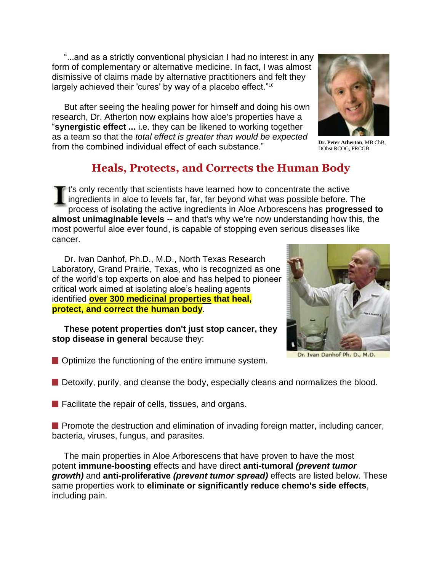"...and as a strictly conventional physician I had no interest in any form of complementary or alternative medicine. In fact, I was almost dismissive of claims made by alternative practitioners and felt they largely achieved their 'cures' by way of a placebo effect."<sup>16</sup>

 But after seeing the healing power for himself and doing his own research, Dr. Atherton now explains how aloe's properties have a "**synergistic effect ...** i.e. they can be likened to working together as a team so that the *total effect is greater than would be expected* from the combined individual effect of each substance."



**Dr. Peter Atherton**, MB ChB, DObst RCOG, FRCGB

# **Heals, Protects, and Corrects the Human Body**

**If** t's only recently that scientists have learned how to concentrate the active ingredients in aloe to levels far, far, far beyond what was possible before. The process of isolating the active ingredients in Aloe Arborescens has **progressed to almost unimaginable levels** -- and that's why we're now understanding how this, the most powerful aloe ever found, is capable of stopping even serious diseases like cancer.

Dr. Ivan Danhof, Ph.D., M.D., North Texas Research Laboratory, Grand Prairie, Texas, who is recognized as one of the world's top experts on aloe and has helped to pioneer critical work aimed at isolating aloe's healing agents identified **over 300 medicinal properties that heal, protect, and correct the human body**.

 **These potent properties don't just stop cancer, they stop disease in general** because they:



Dr. Ivan Danhof Ph. D., M.D.

**Optimize the functioning of the entire immune system.** 

Detoxify, purify, and cleanse the body, especially cleans and normalizes the blood.

 $\blacksquare$  Facilitate the repair of cells, tissues, and organs.

**Promote the destruction and elimination of invading foreign matter, including cancer,** bacteria, viruses, fungus, and parasites.

 The main properties in Aloe Arborescens that have proven to have the most potent **immune-boosting** effects and have direct **anti-tumoral** *(prevent tumor growth)* and **anti-proliferative** *(prevent tumor spread)* effects are listed below. These same properties work to **eliminate or significantly reduce chemo's side effects**, including pain.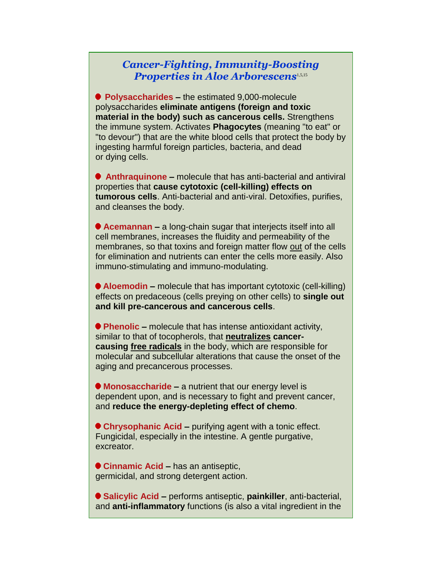#### *Cancer-Fighting, Immunity-Boosting*  **Properties in Aloe Arborescens**<sup>1,5,15</sup>

 **Polysaccharides –** the estimated 9,000-molecule polysaccharides **eliminate antigens (foreign and toxic material in the body) such as cancerous cells.** Strengthens the immune system. Activates **Phagocytes** (meaning "to eat" or "to devour") that are the white blood cells that protect the body by ingesting harmful foreign particles, bacteria, and dead or dying cells.

**Anthraquinone –** molecule that has anti-bacterial and antiviral properties that **cause cytotoxic (cell-killing) effects on tumorous cells**. Anti-bacterial and anti-viral. Detoxifies, purifies, and cleanses the body.

**Acemannan –** a long-chain sugar that interjects itself into all cell membranes, increases the fluidity and permeability of the membranes, so that toxins and foreign matter flow out of the cells for elimination and nutrients can enter the cells more easily. Also immuno-stimulating and immuno-modulating.

**Aloemodin –** molecule that has important cytotoxic (cell-killing) effects on predaceous (cells preying on other cells) to **single out and kill pre-cancerous and cancerous cells**.

**Phenolic –** molecule that has intense antioxidant activity, similar to that of tocopherols, that **neutralizes cancercausing free radicals** in the body, which are responsible for molecular and subcellular alterations that cause the onset of the aging and precancerous processes.

**Monosaccharide –** a nutrient that our energy level is dependent upon, and is necessary to fight and prevent cancer, and **reduce the energy-depleting effect of chemo**.

**Chrysophanic Acid –** purifying agent with a tonic effect. Fungicidal, especially in the intestine. A gentle purgative, excreator.

**Cinnamic Acid –** has an antiseptic, germicidal, and strong detergent action.

**Salicylic Acid –** performs antiseptic, **painkiller**, anti-bacterial, and **anti-inflammatory** functions (is also a vital ingredient in the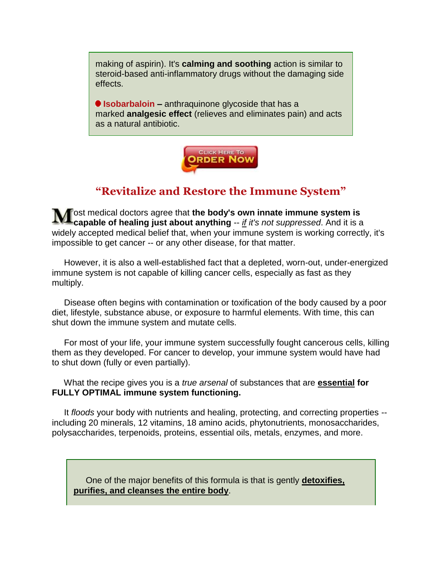making of aspirin). It's **calming and soothing** action is similar to steroid-based anti-inflammatory drugs without the damaging side effects.

**Isobarbaloin –** anthraquinone glycoside that has a marked **analgesic effect** (relieves and eliminates pain) and acts as a natural antibiotic.



# **"Revitalize and Restore the Immune System"**

ost medical doctors agree that **the body's own innate immune system is capable of healing just about anything** -- *if it's not suppressed*. And it is a widely accepted medical belief that, when your immune system is working correctly, it's impossible to get cancer -- or any other disease, for that matter.

 However, it is also a well-established fact that a depleted, worn-out, under-energized immune system is not capable of killing cancer cells, especially as fast as they multiply.

 Disease often begins with contamination or toxification of the body caused by a poor diet, lifestyle, substance abuse, or exposure to harmful elements. With time, this can shut down the immune system and mutate cells.

 For most of your life, your immune system successfully fought cancerous cells, killing them as they developed. For cancer to develop, your immune system would have had to shut down (fully or even partially).

 What the recipe gives you is a *true arsenal* of substances that are **essential for FULLY OPTIMAL immune system functioning.**

 It *floods* your body with nutrients and healing, protecting, and correcting properties - including 20 minerals, 12 vitamins, 18 amino acids, phytonutrients, monosaccharides, polysaccharides, terpenoids, proteins, essential oils, metals, enzymes, and more.

 One of the major benefits of this formula is that is gently **detoxifies, purifies, and cleanses the entire body**.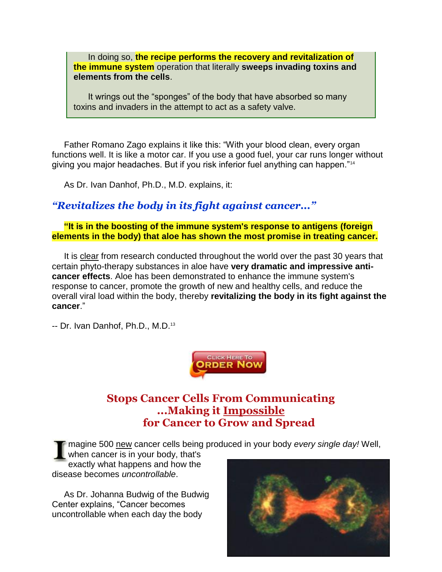In doing so, **the recipe performs the recovery and revitalization of the immune system** operation that literally **sweeps invading toxins and elements from the cells**.

 It wrings out the "sponges" of the body that have absorbed so many toxins and invaders in the attempt to act as a safety valve.

 Father Romano Zago explains it like this: "With your blood clean, every organ functions well. It is like a motor car. If you use a good fuel, your car runs longer without giving you major headaches. But if you risk inferior fuel anything can happen."<sup>14</sup>

As Dr. Ivan Danhof, Ph.D., M.D. explains, it:

#### *"Revitalizes the body in its fight against cancer..."*

 **"It is in the boosting of the immune system's response to antigens (foreign elements in the body) that aloe has shown the most promise in treating cancer.**

 It is clear from research conducted throughout the world over the past 30 years that certain phyto-therapy substances in aloe have **very dramatic and impressive anticancer effects**. Aloe has been demonstrated to enhance the immune system's response to cancer, promote the growth of new and healthy cells, and reduce the overall viral load within the body, thereby **revitalizing the body in its fight against the cancer**."

-- Dr. Ivan Danhof, Ph.D., M.D.<sup>13</sup>



## **Stops Cancer Cells From Communicating ...Making it Impossible for Cancer to Grow and Spread**

magine 500 new cancer cells being produced in your body *every single day!* Well,

when cancer is in your body, that's exactly what happens and how the disease becomes *uncontrollable*.

 As Dr. Johanna Budwig of the Budwig Center explains, "Cancer becomes uncontrollable when each day the body

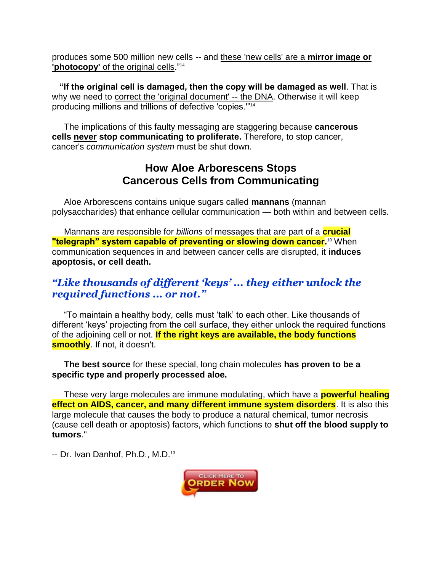produces some 500 million new cells -- and these 'new cells' are a **mirror image or 'photocopy'** of the original cells."<sup>14</sup>

 **"If the original cell is damaged, then the copy will be damaged as well**. That is why we need to correct the 'original document' -- the DNA. Otherwise it will keep producing millions and trillions of defective 'copies.'"<sup>14</sup>

 The implications of this faulty messaging are staggering because **cancerous cells never stop communicating to proliferate.** Therefore, to stop cancer, cancer's *communication system* must be shut down.

#### **How Aloe Arborescens Stops Cancerous Cells from Communicating**

 Aloe Arborescens contains unique sugars called **mannans** (mannan polysaccharides) that enhance cellular communication — both within and between cells.

 Mannans are responsible for *billions* of messages that are part of a **crucial "telegraph" system capable of preventing or slowing down cancer.**<sup>10</sup> When communication sequences in and between cancer cells are disrupted, it **induces apoptosis, or cell death.**

#### *"Like thousands of different 'keys' ... they either unlock the required functions ... or not."*

 "To maintain a healthy body, cells must 'talk' to each other. Like thousands of different 'keys' projecting from the cell surface, they either unlock the required functions of the adjoining cell or not. **If the right keys are available, the body functions smoothly**. If not, it doesn't.

 **The best source** for these special, long chain molecules **has proven to be a specific type and properly processed aloe.**

These very large molecules are immune modulating, which have a **powerful healing effect on AIDS, cancer, and many different immune system disorders**. It is also this large molecule that causes the body to produce a natural chemical, tumor necrosis (cause cell death or apoptosis) factors, which functions to **shut off the blood supply to tumors**."

-- Dr. Ivan Danhof, Ph.D., M.D.<sup>13</sup>

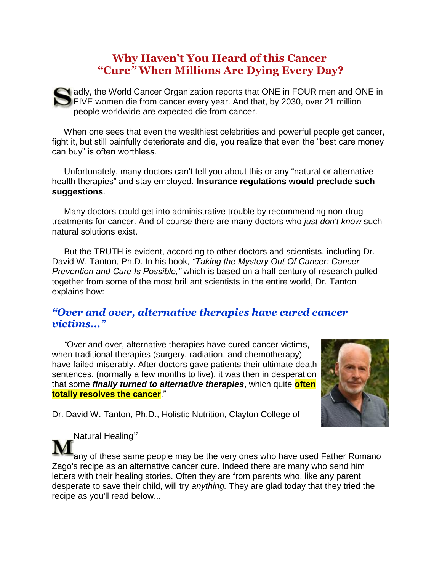## **Why Haven't You Heard of this Cancer "Cure***"* **When Millions Are Dying Every Day?**

**N** adly, the World Cancer Organization reports that ONE in FOUR men and ONE in FIVE women die from cancer every year. And that, by 2030, over 21 million people worldwide are expected die from cancer.

 When one sees that even the wealthiest celebrities and powerful people get cancer, fight it, but still painfully deteriorate and die, you realize that even the "best care money can buy" is often worthless.

 Unfortunately, many doctors can't tell you about this or any "natural or alternative health therapies" and stay employed. **Insurance regulations would preclude such suggestions**.

 Many doctors could get into administrative trouble by recommending non-drug treatments for cancer. And of course there are many doctors who *just don't know* such natural solutions exist.

 But the TRUTH is evident, according to other doctors and scientists, including Dr. David W. Tanton, Ph.D. In his book, *"Taking the Mystery Out Of Cancer: Cancer Prevention and Cure Is Possible,"* which is based on a half century of research pulled together from some of the most brilliant scientists in the entire world, Dr. Tanton explains how:

#### *"Over and over, alternative therapies have cured cancer victims..."*

 *"*Over and over, alternative therapies have cured cancer victims, when traditional therapies (surgery, radiation, and chemotherapy) have failed miserably. After doctors gave patients their ultimate death sentences, (normally a few months to live), it was then in desperation that some *finally turned to alternative therapies*, which quite **often totally resolves the cancer**."



Dr. David W. Tanton, Ph.D., Holistic Nutrition, Clayton College of

Natural Healing<sup>12</sup>

any of these same people may be the very ones who have used Father Romano Zago's recipe as an alternative cancer cure. Indeed there are many who send him letters with their healing stories. Often they are from parents who, like any parent desperate to save their child, will try *anything.* They are glad today that they tried the recipe as you'll read below...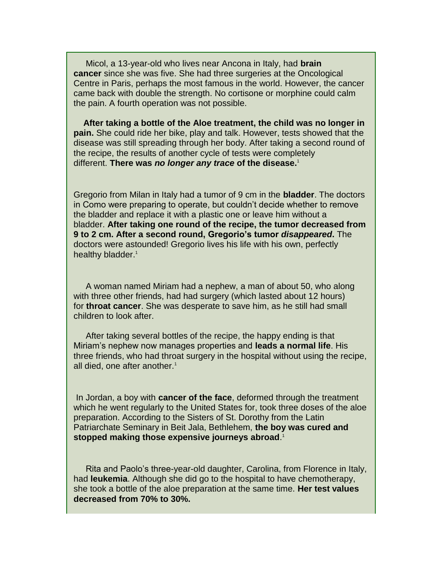Micol, a 13-year-old who lives near Ancona in Italy, had **brain cancer** since she was five. She had three surgeries at the Oncological Centre in Paris, perhaps the most famous in the world. However, the cancer came back with double the strength. No cortisone or morphine could calm the pain. A fourth operation was not possible.

 **After taking a bottle of the Aloe treatment, the child was no longer in pain.** She could ride her bike, play and talk. However, tests showed that the disease was still spreading through her body. After taking a second round of the recipe, the results of another cycle of tests were completely different. **There was** *no longer any trace* **of the disease.**<sup>1</sup>

Gregorio from Milan in Italy had a tumor of 9 cm in the **bladder**. The doctors in Como were preparing to operate, but couldn't decide whether to remove the bladder and replace it with a plastic one or leave him without a bladder. **After taking one round of the recipe, the tumor decreased from 9 to 2 cm. After a second round, Gregorio's tumor** *disappeared***.** The doctors were astounded! Gregorio lives his life with his own, perfectly healthy bladder.<sup>1</sup>

 A woman named Miriam had a nephew, a man of about 50, who along with three other friends, had had surgery (which lasted about 12 hours) for **throat cancer**. She was desperate to save him, as he still had small children to look after.

 After taking several bottles of the recipe, the happy ending is that Miriam's nephew now manages properties and **leads a normal life**. His three friends, who had throat surgery in the hospital without using the recipe, all died, one after another.<sup>1</sup>

In Jordan, a boy with **cancer of the face**, deformed through the treatment which he went regularly to the United States for, took three doses of the aloe preparation. According to the Sisters of St. Dorothy from the Latin Patriarchate Seminary in Beit Jala, Bethlehem, **the boy was cured and stopped making those expensive journeys abroad**. 1

 Rita and Paolo's three-year-old daughter, Carolina, from Florence in Italy, had **leukemia**. Although she did go to the hospital to have chemotherapy, she took a bottle of the aloe preparation at the same time. **Her test values decreased from 70% to 30%.**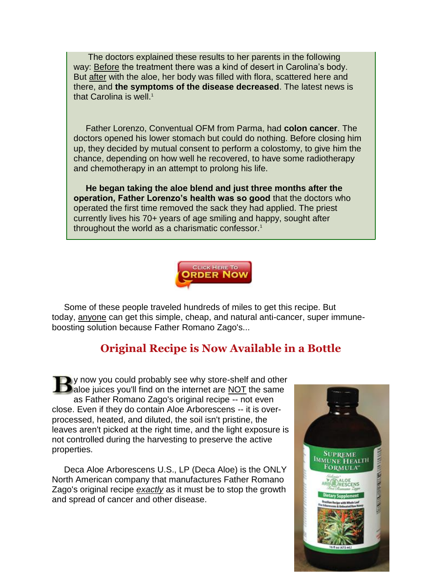The doctors explained these results to her parents in the following way: **Before** the treatment there was a kind of desert in Carolina's body. But after with the aloe, her body was filled with flora, scattered here and there, and **the symptoms of the disease decreased**. The latest news is that Carolina is well.<sup>1</sup>

 Father Lorenzo, Conventual OFM from Parma, had **colon cancer**. The doctors opened his lower stomach but could do nothing. Before closing him up, they decided by mutual consent to perform a colostomy, to give him the chance, depending on how well he recovered, to have some radiotherapy and chemotherapy in an attempt to prolong his life.

 **He began taking the aloe blend and just three months after the operation, Father Lorenzo's health was so good** that the doctors who operated the first time removed the sack they had applied. The priest currently lives his 70+ years of age smiling and happy, sought after throughout the world as a charismatic confessor.<sup>1</sup>



 Some of these people traveled hundreds of miles to get this recipe. But today, anyone can get this simple, cheap, and natural anti-cancer, super immuneboosting solution because Father Romano Zago's...

## **Original Recipe is Now Available in a Bottle**

y now you could probably see why store-shelf and other **D** aloe juices you'll find on the internet are NOT the same as Father Romano Zago's original recipe -- not even close. Even if they do contain Aloe Arborescens -- it is overprocessed, heated, and diluted, the soil isn't pristine, the leaves aren't picked at the right time, and the light exposure is not controlled during the harvesting to preserve the active properties.

 Deca Aloe Arborescens U.S., LP (Deca Aloe) is the ONLY North American company that manufactures Father Romano Zago's original recipe *exactly* as it must be to stop the growth and spread of cancer and other disease.

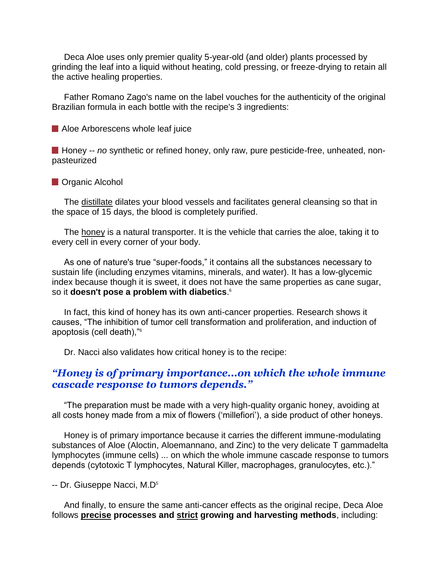Deca Aloe uses only premier quality 5-year-old (and older) plants processed by grinding the leaf into a liquid without heating, cold pressing, or freeze-drying to retain all the active healing properties.

 Father Romano Zago's name on the label vouches for the authenticity of the original Brazilian formula in each bottle with the recipe's 3 ingredients:

Aloe Arborescens whole leaf juice

**H** Honey -- *no* synthetic or refined honey, only raw, pure pesticide-free, unheated, nonpasteurized

**Organic Alcohol** 

The distillate dilates your blood vessels and facilitates general cleansing so that in the space of 15 days, the blood is completely purified.

The honey is a natural transporter. It is the vehicle that carries the aloe, taking it to every cell in every corner of your body.

 As one of nature's true "super-foods," it contains all the substances necessary to sustain life (including enzymes vitamins, minerals, and water). It has a low-glycemic index because though it is sweet, it does not have the same properties as cane sugar, so it **doesn't pose a problem with diabetics**. 6

 In fact, this kind of honey has its own anti-cancer properties. Research shows it causes, "The inhibition of tumor cell transformation and proliferation, and induction of apoptosis (cell death),"<sup>6</sup>

Dr. Nacci also validates how critical honey is to the recipe:

#### *"Honey is of primary importance...on which the whole immune cascade response to tumors depends."*

 "The preparation must be made with a very high-quality organic honey, avoiding at all costs honey made from a mix of flowers ('millefiori'), a side product of other honeys.

 Honey is of primary importance because it carries the different immune-modulating substances of Aloe (Aloctin, Aloemannano, and Zinc) to the very delicate T gammadelta lymphocytes (immune cells) ... on which the whole immune cascade response to tumors depends (cytotoxic T lymphocytes, Natural Killer, macrophages, granulocytes, etc.)."

-- Dr. Giuseppe Nacci, M.D<sup>5</sup>

 And finally, to ensure the same anti-cancer effects as the original recipe, Deca Aloe follows **precise processes and strict growing and harvesting methods**, including: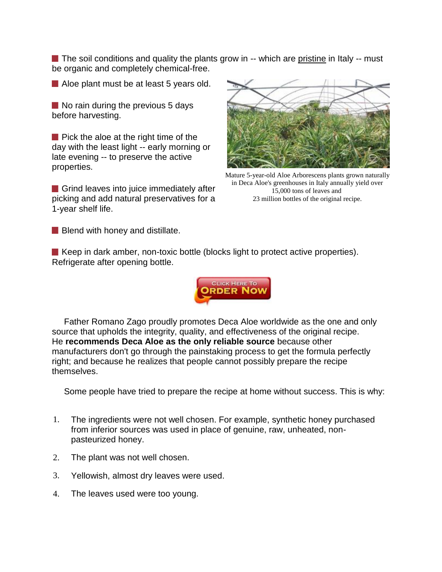The soil conditions and quality the plants grow in -- which are pristine in Italy -- must be organic and completely chemical-free.

Aloe plant must be at least 5 years old.

 $\blacksquare$  No rain during the previous 5 days before harvesting.

 $\blacksquare$  Pick the aloe at the right time of the day with the least light -- early morning or late evening -- to preserve the active properties.

Grind leaves into juice immediately after picking and add natural preservatives for a 1-year shelf life.



Mature 5-year-old Aloe Arborescens plants grown naturally in Deca Aloe's greenhouses in Italy annually yield over 15,000 tons of leaves and 23 million bottles of the original recipe.

**Blend with honey and distillate.** 

 $\blacksquare$  Keep in dark amber, non-toxic bottle (blocks light to protect active properties). Refrigerate after opening bottle.



 Father Romano Zago proudly promotes Deca Aloe worldwide as the one and only source that upholds the integrity, quality, and effectiveness of the original recipe. He **recommends Deca Aloe as the only reliable source** because other manufacturers don't go through the painstaking process to get the formula perfectly right; and because he realizes that people cannot possibly prepare the recipe themselves.

Some people have tried to prepare the recipe at home without success. This is why:

- 1. The ingredients were not well chosen. For example, synthetic honey purchased from inferior sources was used in place of genuine, raw, unheated, nonpasteurized honey.
- 2. The plant was not well chosen.
- 3. Yellowish, almost dry leaves were used.
- 4. The leaves used were too young.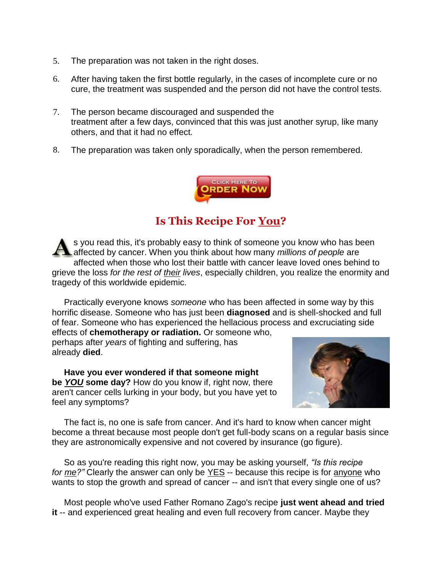- 5. The preparation was not taken in the right doses.
- 6. After having taken the first bottle regularly, in the cases of incomplete cure or no cure, the treatment was suspended and the person did not have the control tests.
- 7. The person became discouraged and suspended the treatment after a few days, convinced that this was just another syrup, like many others, and that it had no effect.
- 8. The preparation was taken only sporadically, when the person remembered.



# **Is This Recipe For You?**

s you read this, it's probably easy to think of someone you know who has been affected by cancer. When you think about how many *millions of people* are affected when those who lost their battle with cancer leave loved ones behind to grieve the loss *for the rest of their lives*, especially children, you realize the enormity and tragedy of this worldwide epidemic.

 Practically everyone knows *someone* who has been affected in some way by this horrific disease. Someone who has just been **diagnosed** and is shell-shocked and full of fear. Someone who has experienced the hellacious process and excruciating side effects of **chemotherapy or radiation.** Or someone who,

perhaps after *years* of fighting and suffering, has already **died**.

 **Have you ever wondered if that someone might be** *YOU* **some day?** How do you know if, right now, there aren't cancer cells lurking in your body, but you have yet to feel any symptoms?



 The fact is, no one is safe from cancer. And it's hard to know when cancer might become a threat because most people don't get full-body scans on a regular basis since they are astronomically expensive and not covered by insurance (go figure).

 So as you're reading this right now, you may be asking yourself, *"Is this recipe for me?"* Clearly the answer can only be YES -- because this recipe is for anyone who wants to stop the growth and spread of cancer -- and isn't that every single one of us?

 Most people who've used Father Romano Zago's recipe **just went ahead and tried it** -- and experienced great healing and even full recovery from cancer. Maybe they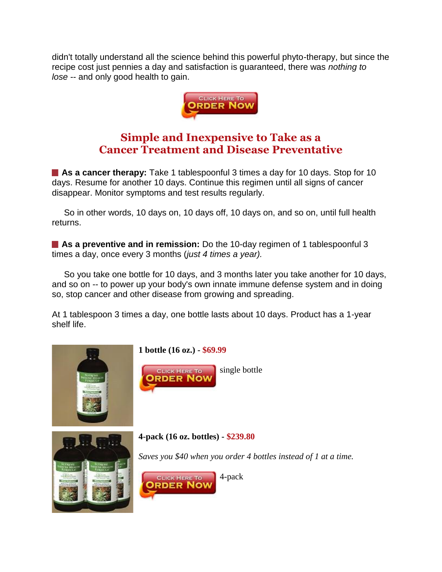didn't totally understand all the science behind this powerful phyto-therapy, but since the recipe cost just pennies a day and satisfaction is guaranteed, there was *nothing to lose* -- and only good health to gain.



## **Simple and Inexpensive to Take as a Cancer Treatment and Disease Preventative**

■ **As a cancer therapy:** Take 1 tablespoonful 3 times a day for 10 days. Stop for 10 days. Resume for another 10 days. Continue this regimen until all signs of cancer disappear. Monitor symptoms and test results regularly.

 So in other words, 10 days on, 10 days off, 10 days on, and so on, until full health returns.

**As a preventive and in remission:** Do the 10-day regimen of 1 tablespoonful 3 times a day, once every 3 months (*just 4 times a year).*

 So you take one bottle for 10 days, and 3 months later you take another for 10 days, and so on -- to power up your body's own innate immune defense system and in doing so, stop cancer and other disease from growing and spreading.

At 1 tablespoon 3 times a day, one bottle lasts about 10 days. Product has a 1-year shelf life.

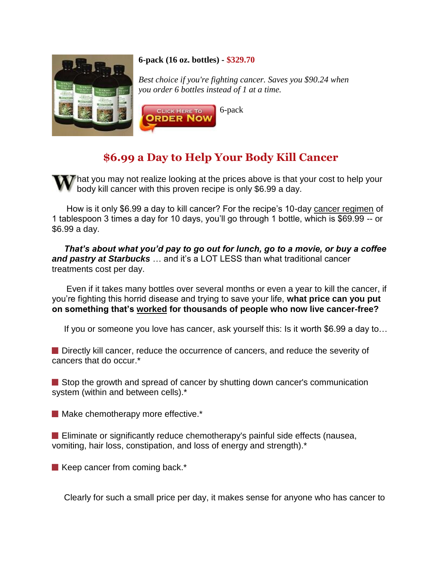

#### **6-pack (16 oz. bottles) - \$329.70**

*Best choice if you're fighting cancer. Saves you \$90.24 when you order 6 bottles instead of 1 at a time.*



# **\$6.99 a Day to Help Your Body Kill Cancer**

 $\mathcal{T}$  hat you may not realize looking at the prices above is that your cost to help your body kill cancer with this proven recipe is only \$6.99 a day.

 How is it only \$6.99 a day to kill cancer? For the recipe's 10-day cancer regimen of 1 tablespoon 3 times a day for 10 days, you'll go through 1 bottle, which is \$69.99 -- or \$6.99 a day.

 *That's about what you'd pay to go out for lunch, go to a movie, or buy a coffee and pastry at Starbucks* … and it's a LOT LESS than what traditional cancer treatments cost per day.

 Even if it takes many bottles over several months or even a year to kill the cancer, if you're fighting this horrid disease and trying to save your life, **what price can you put on something that's worked for thousands of people who now live cancer-free?**

If you or someone you love has cancer, ask yourself this: Is it worth \$6.99 a day to…

**Directly kill cancer, reduce the occurrence of cancers, and reduce the severity of** cancers that do occur.\*

Stop the growth and spread of cancer by shutting down cancer's communication system (within and between cells).\*

Make chemotherapy more effective.\*

**E** Eliminate or significantly reduce chemotherapy's painful side effects (nausea, vomiting, hair loss, constipation, and loss of energy and strength).\*

 $\blacksquare$  Keep cancer from coming back.\*

Clearly for such a small price per day, it makes sense for anyone who has cancer to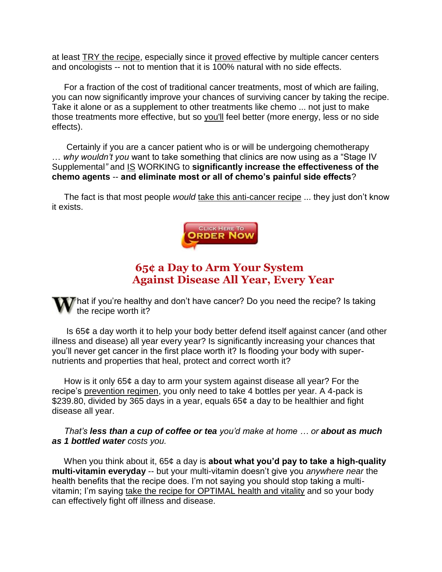at least TRY the recipe, especially since it proved effective by multiple cancer centers and oncologists -- not to mention that it is 100% natural with no side effects.

 For a fraction of the cost of traditional cancer treatments, most of which are failing, you can now significantly improve your chances of surviving cancer by taking the recipe. Take it alone or as a supplement to other treatments like chemo ... not just to make those treatments more effective, but so you'll feel better (more energy, less or no side effects).

 Certainly if you are a cancer patient who is or will be undergoing chemotherapy … *why wouldn't you* want to take something that clinics are now using as a "Stage IV Supplemental*"* and IS WORKING to **significantly increase the effectiveness of the chemo agents** -- **and eliminate most or all of chemo's painful side effects**?

 The fact is that most people *would* take this anti-cancer recipe ... they just don't know it exists.



### **65¢ a Day to Arm Your System Against Disease All Year, Every Year**

 $\sqrt{7}$  hat if you're healthy and don't have cancer? Do you need the recipe? Is taking the recipe worth it?

 Is 65¢ a day worth it to help your body better defend itself against cancer (and other illness and disease) all year every year? Is significantly increasing your chances that you'll never get cancer in the first place worth it? Is flooding your body with supernutrients and properties that heal, protect and correct worth it?

 How is it only 65¢ a day to arm your system against disease all year? For the recipe's prevention regimen, you only need to take 4 bottles per year. A 4-pack is \$239.80, divided by 365 days in a year, equals 65¢ a day to be healthier and fight disease all year.

 *That's less than a cup of coffee or tea you'd make at home … or about as much as 1 bottled water costs you.*

 When you think about it, 65¢ a day is **about what you'd pay to take a high-quality multi-vitamin everyday** -- but your multi-vitamin doesn't give you *anywhere near* the health benefits that the recipe does. I'm not saying you should stop taking a multivitamin; I'm saying take the recipe for OPTIMAL health and vitality and so your body can effectively fight off illness and disease.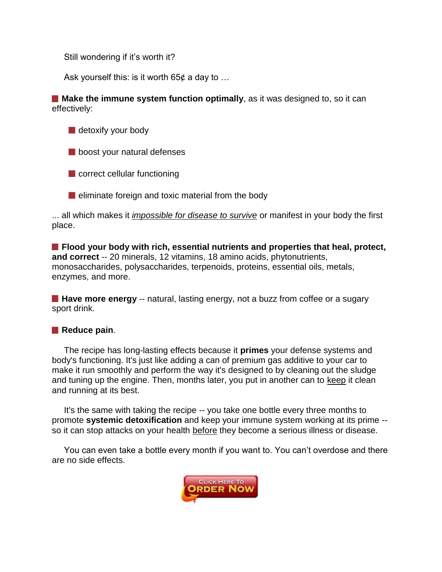Still wondering if it's worth it?

Ask yourself this: is it worth  $65¢$  a day to ...

**Make the immune system function optimally**, as it was designed to, so it can effectively:

detoxify your body

**boost your natural defenses** 

**Correct cellular functioning** 

 $\blacksquare$  eliminate foreign and toxic material from the body

... all which makes it *impossible for disease to survive* or manifest in your body the first place.

**Flood your body with rich, essential nutrients and properties that heal, protect, and correct** -- 20 minerals, 12 vitamins, 18 amino acids, phytonutrients, monosaccharides, polysaccharides, terpenoids, proteins, essential oils, metals, enzymes, and more.

**Have more energy** -- natural, lasting energy, not a buzz from coffee or a sugary sport drink.

#### **Reduce pain.**

 The recipe has long-lasting effects because it **primes** your defense systems and body's functioning. It's just like adding a can of premium gas additive to your car to make it run smoothly and perform the way it's designed to by cleaning out the sludge and tuning up the engine. Then, months later, you put in another can to keep it clean and running at its best.

 It's the same with taking the recipe -- you take one bottle every three months to promote **systemic detoxification** and keep your immune system working at its prime - so it can stop attacks on your health before they become a serious illness or disease.

 You can even take a bottle every month if you want to. You can't overdose and there are no side effects.

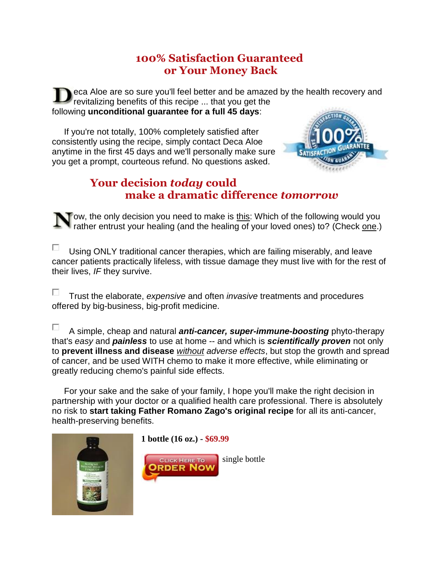## **100% Satisfaction Guaranteed or Your Money Back**

eca Aloe are so sure you'll feel better and be amazed by the health recovery and revitalizing benefits of this recipe ... that you get the following **unconditional guarantee for a full 45 days**:

 If you're not totally, 100% completely satisfied after consistently using the recipe, simply contact Deca Aloe anytime in the first 45 days and we'll personally make sure you get a prompt, courteous refund. No questions asked.



## **Your decision** *today* **could make a dramatic difference** *tomorrow*

ow, the only decision you need to make is this: Which of the following would you rather entrust your healing (and the healing of your loved ones) to? (Check one.)

П Using ONLY traditional cancer therapies, which are failing miserably, and leave cancer patients practically lifeless, with tissue damage they must live with for the rest of their lives, *IF* they survive.

П. Trust the elaborate, *expensive* and often *invasive* treatments and procedures offered by big-business, big-profit medicine.

П A simple, cheap and natural *anti-cancer, super-immune-boosting* phyto-therapy that's *easy* and *painless* to use at home -- and which is *scientifically proven* not only to **prevent illness and disease** *without adverse effects*, but stop the growth and spread of cancer, and be used WITH chemo to make it more effective, while eliminating or greatly reducing chemo's painful side effects.

 For your sake and the sake of your family, I hope you'll make the right decision in partnership with your doctor or a qualified health care professional. There is absolutely no risk to **start taking Father Romano Zago's original recipe** for all its anti-cancer, health-preserving benefits.

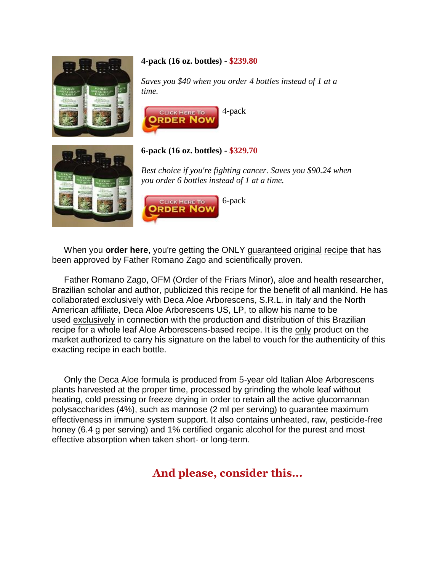

#### **4-pack (16 oz. bottles) - \$239.80**

*Saves you \$40 when you order 4 bottles instead of 1 at a time.*





#### **6-pack (16 oz. bottles) - \$329.70**

*Best choice if you're fighting cancer. Saves you \$90.24 when you order 6 bottles instead of 1 at a time.*



When you **order here**, you're getting the ONLY guaranteed original recipe that has been approved by Father Romano Zago and scientifically proven.

 Father Romano Zago, OFM (Order of the Friars Minor), aloe and health researcher, Brazilian scholar and author, publicized this recipe for the benefit of all mankind. He has collaborated exclusively with Deca Aloe Arborescens, S.R.L. in Italy and the North American affiliate, Deca Aloe Arborescens US, LP, to allow his name to be used exclusively in connection with the production and distribution of this Brazilian recipe for a whole leaf Aloe Arborescens-based recipe. It is the only product on the market authorized to carry his signature on the label to vouch for the authenticity of this exacting recipe in each bottle.

 Only the Deca Aloe formula is produced from 5-year old Italian Aloe Arborescens plants harvested at the proper time, processed by grinding the whole leaf without heating, cold pressing or freeze drying in order to retain all the active glucomannan polysaccharides (4%), such as mannose (2 ml per serving) to guarantee maximum effectiveness in immune system support. It also contains unheated, raw, pesticide-free honey (6.4 g per serving) and 1% certified organic alcohol for the purest and most effective absorption when taken short- or long-term.

## **And please, consider this...**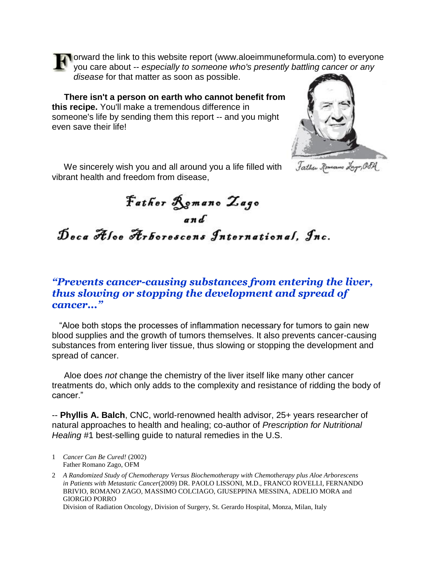**T** orward the link to this website report (www.aloeimmuneformula.com) to everyone you care about -- *especially to someone who's presently battling cancer or any disease* for that matter as soon as possible.

 **There isn't a person on earth who cannot benefit from this recipe.** You'll make a tremendous difference in someone's life by sending them this report -- and you might even save their life!

 We sincerely wish you and all around you a life filled with vibrant health and freedom from disease,

father Romano Lago, OSM

Father Romano Zago Deca Aloe Arborescens International, Inc.

#### *"Prevents cancer-causing substances from entering the liver, thus slowing or stopping the development and spread of cancer..."*

 "Aloe both stops the processes of inflammation necessary for tumors to gain new blood supplies and the growth of tumors themselves. It also prevents cancer-causing substances from entering liver tissue, thus slowing or stopping the development and spread of cancer.

 Aloe does *not* change the chemistry of the liver itself like many other cancer treatments do, which only adds to the complexity and resistance of ridding the body of cancer."

-- **Phyllis A. Balch**, CNC, world-renowned health advisor, 25+ years researcher of natural approaches to health and healing; co-author of *Prescription for Nutritional Healing* #1 best-selling guide to natural remedies in the U.S.

1 *Cancer Can Be Cured!* (2002) Father Romano Zago, OFM

2 *A Randomized Study of Chemotherapy Versus Biochemotherapy with Chemotherapy plus Aloe Arborescens in Patients with Metastatic Cancer*(2009) DR. PAOLO LISSONI, M.D., FRANCO ROVELLI, FERNANDO BRIVIO, ROMANO ZAGO, MASSIMO COLCIAGO, GIUSEPPINA MESSINA, ADELIO MORA and GIORGIO PORRO Division of Radiation Oncology, Division of Surgery, St. Gerardo Hospital, Monza, Milan, Italy